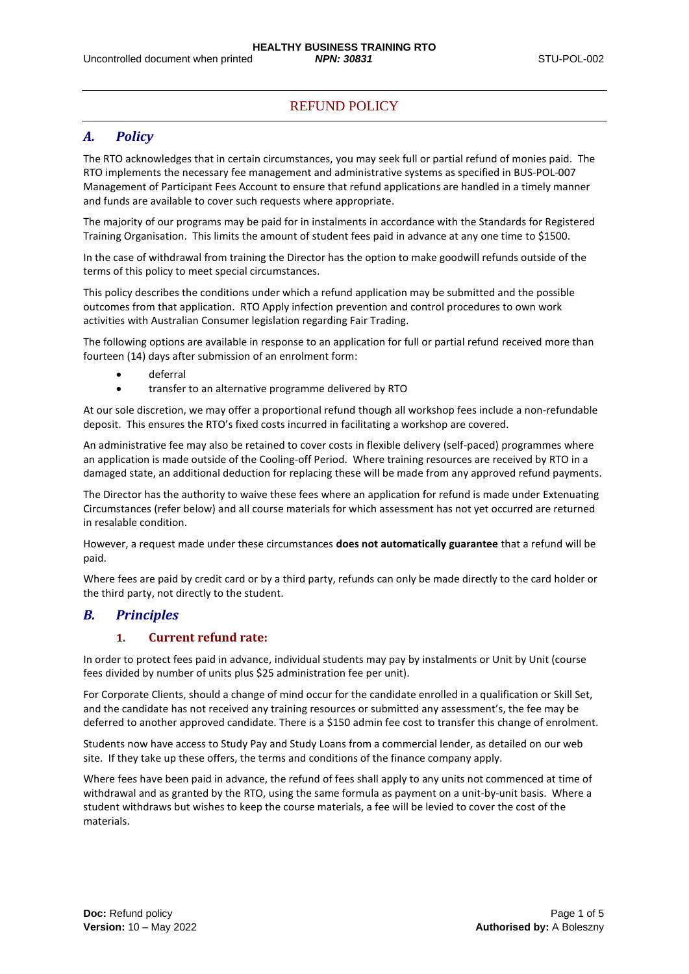# REFUND POLICY

# *A. Policy*

The RTO acknowledges that in certain circumstances, you may seek full or partial refund of monies paid. The RTO implements the necessary fee management and administrative systems as specified in BUS-POL-007 Management of Participant Fees Account to ensure that refund applications are handled in a timely manner and funds are available to cover such requests where appropriate.

The majority of our programs may be paid for in instalments in accordance with the Standards for Registered Training Organisation. This limits the amount of student fees paid in advance at any one time to \$1500.

In the case of withdrawal from training the Director has the option to make goodwill refunds outside of the terms of this policy to meet special circumstances.

This policy describes the conditions under which a refund application may be submitted and the possible outcomes from that application. RTO Apply infection prevention and control procedures to own work activities with Australian Consumer legislation regarding Fair Trading.

The following options are available in response to an application for full or partial refund received more than fourteen (14) days after submission of an enrolment form:

- deferral
- transfer to an alternative programme delivered by RTO

At our sole discretion, we may offer a proportional refund though all workshop fees include a non-refundable deposit. This ensures the RTO's fixed costs incurred in facilitating a workshop are covered.

An administrative fee may also be retained to cover costs in flexible delivery (self-paced) programmes where an application is made outside of the Cooling-off Period. Where training resources are received by RTO in a damaged state, an additional deduction for replacing these will be made from any approved refund payments.

The Director has the authority to waive these fees where an application for refund is made under Extenuating Circumstances (refer below) and all course materials for which assessment has not yet occurred are returned in resalable condition.

However, a request made under these circumstances **does not automatically guarantee** that a refund will be paid.

Where fees are paid by credit card or by a third party, refunds can only be made directly to the card holder or the third party, not directly to the student.

## *B. Principles*

## **1. Current refund rate:**

In order to protect fees paid in advance, individual students may pay by instalments or Unit by Unit (course fees divided by number of units plus \$25 administration fee per unit).

For Corporate Clients, should a change of mind occur for the candidate enrolled in a qualification or Skill Set, and the candidate has not received any training resources or submitted any assessment's, the fee may be deferred to another approved candidate. There is a \$150 admin fee cost to transfer this change of enrolment.

Students now have access to Study Pay and Study Loans from a commercial lender, as detailed on our web site. If they take up these offers, the terms and conditions of the finance company apply.

Where fees have been paid in advance, the refund of fees shall apply to any units not commenced at time of withdrawal and as granted by the RTO, using the same formula as payment on a unit-by-unit basis. Where a student withdraws but wishes to keep the course materials, a fee will be levied to cover the cost of the materials.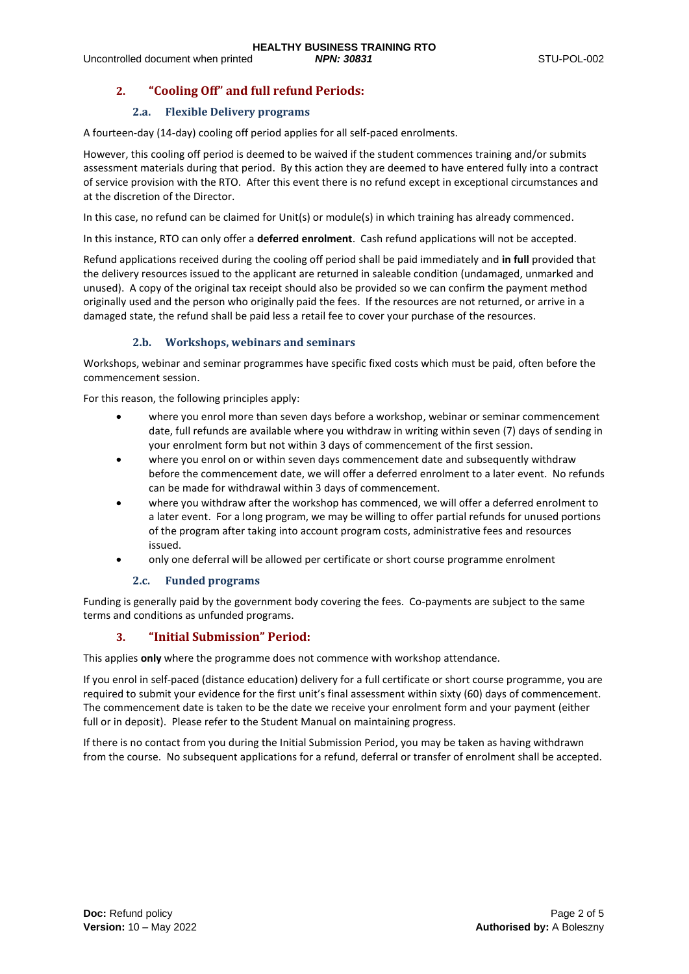# **2. "Cooling Off" and full refund Periods:**

## **2.a. Flexible Delivery programs**

A fourteen-day (14-day) cooling off period applies for all self-paced enrolments.

However, this cooling off period is deemed to be waived if the student commences training and/or submits assessment materials during that period. By this action they are deemed to have entered fully into a contract of service provision with the RTO. After this event there is no refund except in exceptional circumstances and at the discretion of the Director.

In this case, no refund can be claimed for Unit(s) or module(s) in which training has already commenced.

In this instance, RTO can only offer a **deferred enrolment**. Cash refund applications will not be accepted.

Refund applications received during the cooling off period shall be paid immediately and **in full** provided that the delivery resources issued to the applicant are returned in saleable condition (undamaged, unmarked and unused). A copy of the original tax receipt should also be provided so we can confirm the payment method originally used and the person who originally paid the fees. If the resources are not returned, or arrive in a damaged state, the refund shall be paid less a retail fee to cover your purchase of the resources.

## **2.b. Workshops, webinars and seminars**

Workshops, webinar and seminar programmes have specific fixed costs which must be paid, often before the commencement session.

For this reason, the following principles apply:

- where you enrol more than seven days before a workshop, webinar or seminar commencement date, full refunds are available where you withdraw in writing within seven (7) days of sending in your enrolment form but not within 3 days of commencement of the first session.
- where you enrol on or within seven days commencement date and subsequently withdraw before the commencement date, we will offer a deferred enrolment to a later event. No refunds can be made for withdrawal within 3 days of commencement.
- where you withdraw after the workshop has commenced, we will offer a deferred enrolment to a later event. For a long program, we may be willing to offer partial refunds for unused portions of the program after taking into account program costs, administrative fees and resources issued.
- only one deferral will be allowed per certificate or short course programme enrolment

## **2.c. Funded programs**

Funding is generally paid by the government body covering the fees. Co-payments are subject to the same terms and conditions as unfunded programs.

## **3. "Initial Submission" Period:**

This applies **only** where the programme does not commence with workshop attendance.

If you enrol in self-paced (distance education) delivery for a full certificate or short course programme, you are required to submit your evidence for the first unit's final assessment within sixty (60) days of commencement. The commencement date is taken to be the date we receive your enrolment form and your payment (either full or in deposit). Please refer to the Student Manual on maintaining progress.

If there is no contact from you during the Initial Submission Period, you may be taken as having withdrawn from the course. No subsequent applications for a refund, deferral or transfer of enrolment shall be accepted.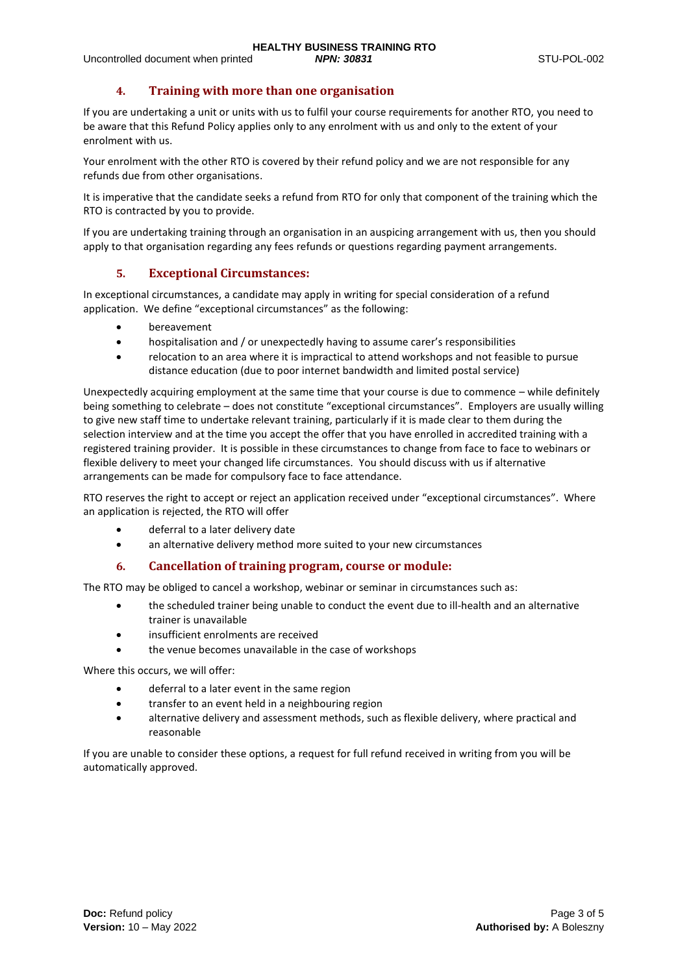## **4. Training with more than one organisation**

If you are undertaking a unit or units with us to fulfil your course requirements for another RTO, you need to be aware that this Refund Policy applies only to any enrolment with us and only to the extent of your enrolment with us.

Your enrolment with the other RTO is covered by their refund policy and we are not responsible for any refunds due from other organisations.

It is imperative that the candidate seeks a refund from RTO for only that component of the training which the RTO is contracted by you to provide.

If you are undertaking training through an organisation in an auspicing arrangement with us, then you should apply to that organisation regarding any fees refunds or questions regarding payment arrangements.

## **5. Exceptional Circumstances:**

In exceptional circumstances, a candidate may apply in writing for special consideration of a refund application. We define "exceptional circumstances" as the following:

- **bereavement**
- hospitalisation and / or unexpectedly having to assume carer's responsibilities
- relocation to an area where it is impractical to attend workshops and not feasible to pursue distance education (due to poor internet bandwidth and limited postal service)

Unexpectedly acquiring employment at the same time that your course is due to commence – while definitely being something to celebrate – does not constitute "exceptional circumstances". Employers are usually willing to give new staff time to undertake relevant training, particularly if it is made clear to them during the selection interview and at the time you accept the offer that you have enrolled in accredited training with a registered training provider. It is possible in these circumstances to change from face to face to webinars or flexible delivery to meet your changed life circumstances. You should discuss with us if alternative arrangements can be made for compulsory face to face attendance.

RTO reserves the right to accept or reject an application received under "exceptional circumstances". Where an application is rejected, the RTO will offer

- deferral to a later delivery date
- an alternative delivery method more suited to your new circumstances

## **6. Cancellation of training program, course or module:**

The RTO may be obliged to cancel a workshop, webinar or seminar in circumstances such as:

- the scheduled trainer being unable to conduct the event due to ill-health and an alternative trainer is unavailable
- insufficient enrolments are received
- the venue becomes unavailable in the case of workshops

Where this occurs, we will offer:

- deferral to a later event in the same region
- transfer to an event held in a neighbouring region
- alternative delivery and assessment methods, such as flexible delivery, where practical and reasonable

If you are unable to consider these options, a request for full refund received in writing from you will be automatically approved.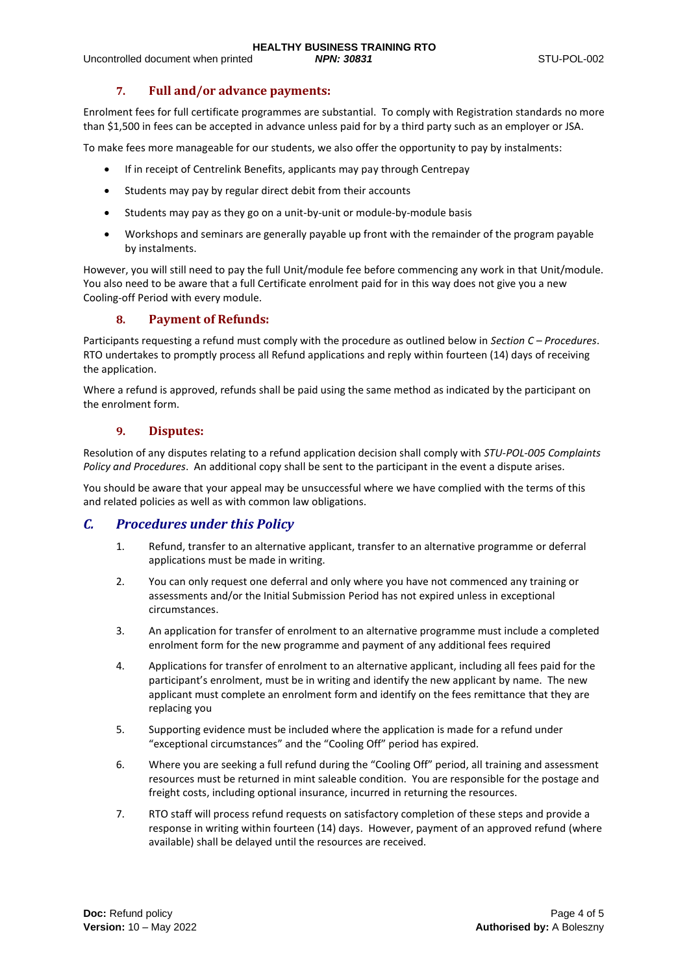## **7. Full and/or advance payments:**

Enrolment fees for full certificate programmes are substantial. To comply with Registration standards no more than \$1,500 in fees can be accepted in advance unless paid for by a third party such as an employer or JSA.

To make fees more manageable for our students, we also offer the opportunity to pay by instalments:

- If in receipt of Centrelink Benefits, applicants may pay through Centrepay
- Students may pay by regular direct debit from their accounts
- Students may pay as they go on a unit-by-unit or module-by-module basis
- Workshops and seminars are generally payable up front with the remainder of the program payable by instalments.

However, you will still need to pay the full Unit/module fee before commencing any work in that Unit/module. You also need to be aware that a full Certificate enrolment paid for in this way does not give you a new Cooling-off Period with every module.

## **8. Payment of Refunds:**

Participants requesting a refund must comply with the procedure as outlined below in *Section C – Procedures*. RTO undertakes to promptly process all Refund applications and reply within fourteen (14) days of receiving the application.

Where a refund is approved, refunds shall be paid using the same method as indicated by the participant on the enrolment form.

#### **9. Disputes:**

Resolution of any disputes relating to a refund application decision shall comply with *STU-POL-005 Complaints Policy and Procedures*. An additional copy shall be sent to the participant in the event a dispute arises.

You should be aware that your appeal may be unsuccessful where we have complied with the terms of this and related policies as well as with common law obligations.

## *C. Procedures under this Policy*

- 1. Refund, transfer to an alternative applicant, transfer to an alternative programme or deferral applications must be made in writing.
- 2. You can only request one deferral and only where you have not commenced any training or assessments and/or the Initial Submission Period has not expired unless in exceptional circumstances.
- 3. An application for transfer of enrolment to an alternative programme must include a completed enrolment form for the new programme and payment of any additional fees required
- 4. Applications for transfer of enrolment to an alternative applicant, including all fees paid for the participant's enrolment, must be in writing and identify the new applicant by name. The new applicant must complete an enrolment form and identify on the fees remittance that they are replacing you
- 5. Supporting evidence must be included where the application is made for a refund under "exceptional circumstances" and the "Cooling Off" period has expired.
- 6. Where you are seeking a full refund during the "Cooling Off" period, all training and assessment resources must be returned in mint saleable condition. You are responsible for the postage and freight costs, including optional insurance, incurred in returning the resources.
- 7. RTO staff will process refund requests on satisfactory completion of these steps and provide a response in writing within fourteen (14) days. However, payment of an approved refund (where available) shall be delayed until the resources are received.